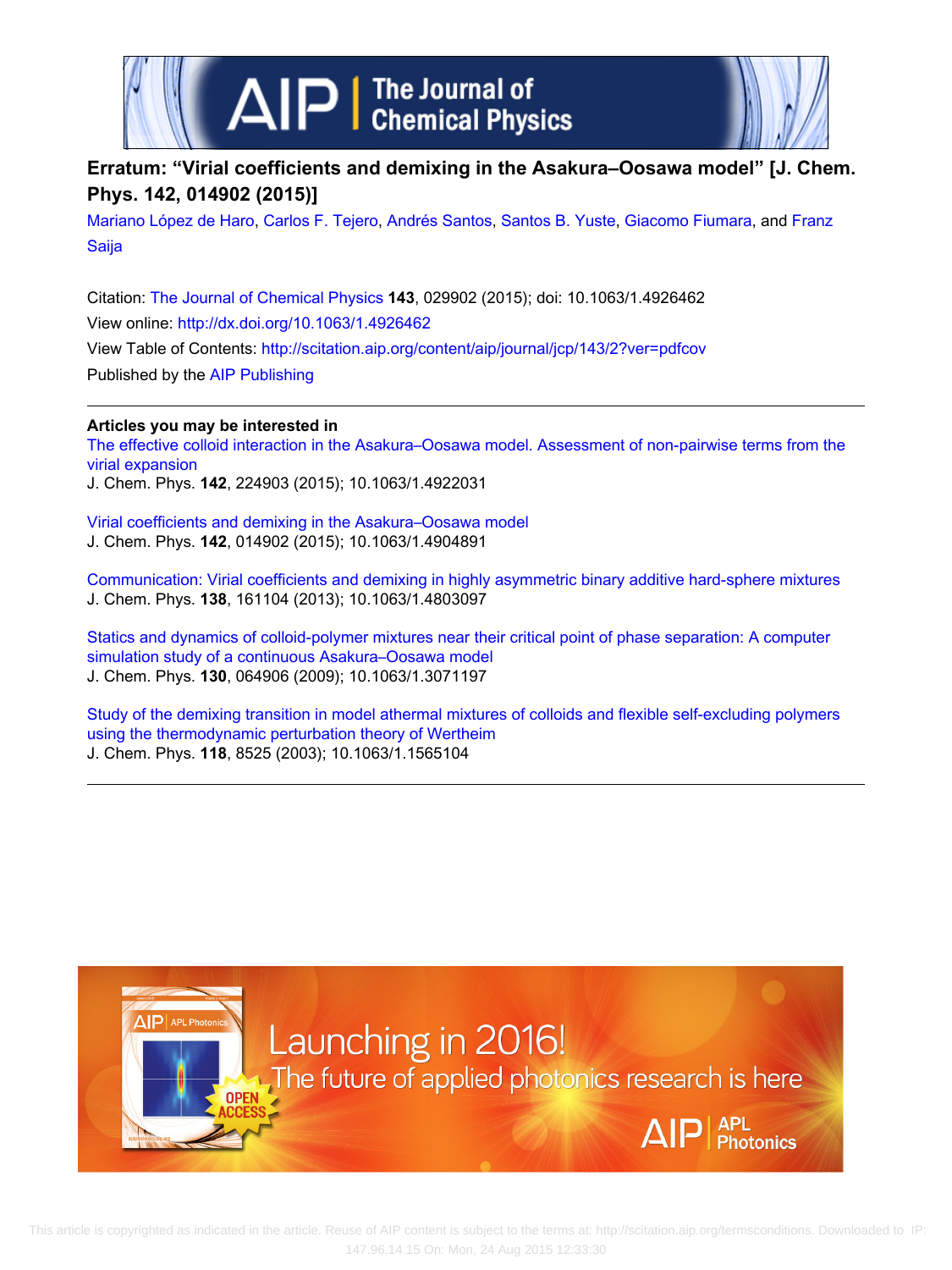



## **Erratum: "Virial coefficients and demixing in the Asakura–Oosawa model" [J. Chem. Phys. 142, 014902 (2015)]**

[Mariano López de Haro,](http://scitation.aip.org/search?value1=Mariano+L�pez+de+Haro&option1=author) [Carlos F. Tejero,](http://scitation.aip.org/search?value1=Carlos+F.+Tejero&option1=author) [Andrés Santos](http://scitation.aip.org/search?value1=Andr�s+Santos&option1=author), [Santos B. Yuste](http://scitation.aip.org/search?value1=Santos+B.+Yuste&option1=author), [Giacomo Fiumara](http://scitation.aip.org/search?value1=Giacomo+Fiumara&option1=author), and [Franz](http://scitation.aip.org/search?value1=Franz+Saija&option1=author) [Saija](http://scitation.aip.org/search?value1=Franz+Saija&option1=author)

Citation: [The Journal of Chemical Physics](http://scitation.aip.org/content/aip/journal/jcp?ver=pdfcov) **143**, 029902 (2015); doi: 10.1063/1.4926462 View online: <http://dx.doi.org/10.1063/1.4926462> View Table of Contents:<http://scitation.aip.org/content/aip/journal/jcp/143/2?ver=pdfcov> Published by the [AIP Publishing](http://scitation.aip.org/content/aip?ver=pdfcov)

## **Articles you may be interested in**

[The effective colloid interaction in the Asakura–Oosawa model. Assessment of non-pairwise terms from the](http://scitation.aip.org/content/aip/journal/jcp/142/22/10.1063/1.4922031?ver=pdfcov) [virial expansion](http://scitation.aip.org/content/aip/journal/jcp/142/22/10.1063/1.4922031?ver=pdfcov)

J. Chem. Phys. **142**, 224903 (2015); 10.1063/1.4922031

[Virial coefficients and demixing in the Asakura–Oosawa model](http://scitation.aip.org/content/aip/journal/jcp/142/1/10.1063/1.4904891?ver=pdfcov) J. Chem. Phys. **142**, 014902 (2015); 10.1063/1.4904891

[Communication: Virial coefficients and demixing in highly asymmetric binary additive hard-sphere mixtures](http://scitation.aip.org/content/aip/journal/jcp/138/16/10.1063/1.4803097?ver=pdfcov) J. Chem. Phys. **138**, 161104 (2013); 10.1063/1.4803097

[Statics and dynamics of colloid-polymer mixtures near their critical point of phase separation: A computer](http://scitation.aip.org/content/aip/journal/jcp/130/6/10.1063/1.3071197?ver=pdfcov) [simulation study of a continuous Asakura–Oosawa model](http://scitation.aip.org/content/aip/journal/jcp/130/6/10.1063/1.3071197?ver=pdfcov) J. Chem. Phys. **130**, 064906 (2009); 10.1063/1.3071197

[Study of the demixing transition in model athermal mixtures of colloids and flexible self-excluding polymers](http://scitation.aip.org/content/aip/journal/jcp/118/18/10.1063/1.1565104?ver=pdfcov) [using the thermodynamic perturbation theory of Wertheim](http://scitation.aip.org/content/aip/journal/jcp/118/18/10.1063/1.1565104?ver=pdfcov) J. Chem. Phys. **118**, 8525 (2003); 10.1063/1.1565104